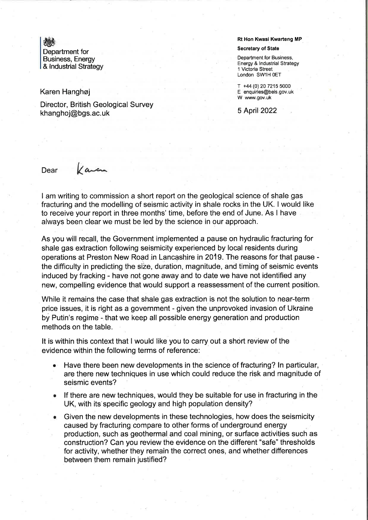# dF

Department for Business, Energy & Industrial Strategy

### Karen Hanghoj

Director, British Geological Survey khanghoj@bgs.ac.uk

#### Rt Hon Kwasi Kwarteng MP

#### Secretary of State

Department for Business, Energy & lndustrial Strategy 1 Victoria Street London SW1H 0ET

T +44 (0) 20 7215 5000 E enquiries@beis.gov.uk W www.gov.uk

5 April 2022

## Dear *Kaven*

I am writing to commission a short report on the geological science of shale gas fracturing and the modelling of seismic activity in shale rocks in the UK. I would like to receive your report in three months' time, before the end of June. As I have always been clear we must be led by the science in our approach.

As you will recall, the Government implemented a pause on hydraulic fracturing for shale gas extraction following seismicity experienced by local residents during operations at Preston New Road.in Lancashire in 2019. The reasons for that pause the difficulty in predicting the size, duration, magnitude, and timing of seismic events induced by fracking - have not gone away and to date we have not identified any new, compelling evidence that would support a reassessment of the current position.

While it remains the case that shale gas extraction is not the solution to near-term price issues, it is right as a government - given the unprovoked invasion of Ukraine by Putin's regime - that we keep all possible energy generation and production methods on the table.

It is within this context that I would like you to carry out a short review of the evidence within the following terms of reference:

- Have there been new developments in the science of fracturing? ln particular, are there new techniques in use which could reduce the risk and magnitude of seismic events? a
- lf there are new techniques, would they be suitable for use in fracturing in the UK, with its specific geology and high population density?
- Given the new developments in these technologies, how does the seismicity caused by fracturing compare to other forms of underground energy production, such as geothermal and coal mining, or surface activities such as construction? Can you review the evidence on the different "safe" thresholds for activity, whether they remain the correct ones, and whether differences between them remain justified? a